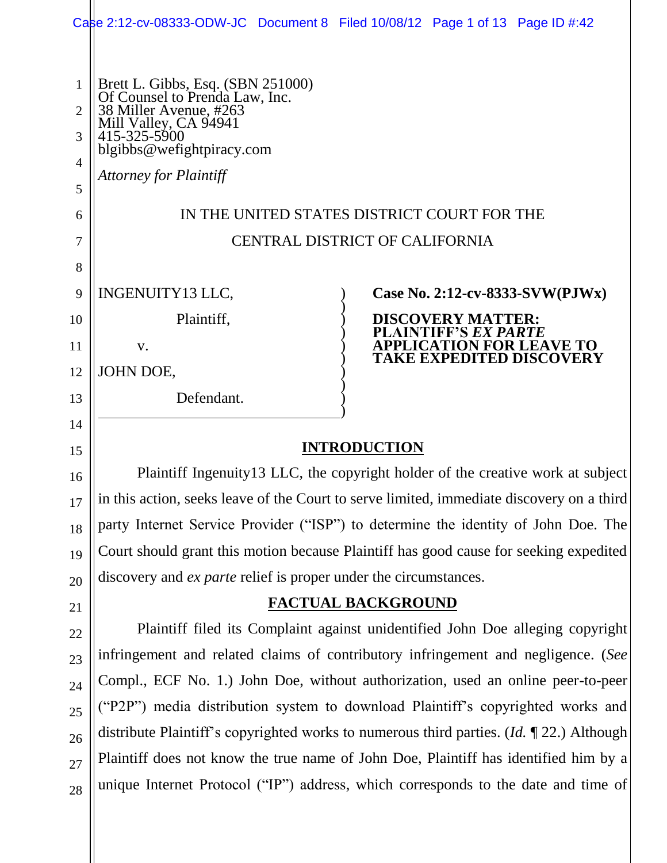|                                                            | Castle 2:12-cv-08333-ODW-JC Document 8 Filed 10/08/12 Page 1 of 13 Page ID #:42                                                                                                                      |  |                                                |                                                                    |
|------------------------------------------------------------|------------------------------------------------------------------------------------------------------------------------------------------------------------------------------------------------------|--|------------------------------------------------|--------------------------------------------------------------------|
| $\mathbf{1}$<br>$\overline{2}$<br>3<br>$\overline{4}$<br>5 | Brett L. Gibbs, Esq. (SBN 251000)<br>Of Counsel to Prenda Law, Inc.<br>38 Miller Avenue, #263<br>Mill Valley, CA 94941<br>415-325-5900<br>blgibbs@wefightpiracy.com<br><b>Attorney for Plaintiff</b> |  |                                                |                                                                    |
| 6                                                          | IN THE UNITED STATES DISTRICT COURT FOR THE                                                                                                                                                          |  |                                                |                                                                    |
| 7                                                          | CENTRAL DISTRICT OF CALIFORNIA                                                                                                                                                                       |  |                                                |                                                                    |
| 8                                                          |                                                                                                                                                                                                      |  |                                                |                                                                    |
| 9                                                          | INGENUITY13 LLC,                                                                                                                                                                                     |  |                                                | Case No. 2:12-cv-8333-SVW(PJWx)                                    |
| 10                                                         | Plaintiff,                                                                                                                                                                                           |  | DISCOVERY MATTER:<br>AINTIFF'S <i>EX PARTE</i> |                                                                    |
| 11                                                         | $V_{\cdot}$                                                                                                                                                                                          |  |                                                | <b>APPLICATION FOR LEAVE TO</b><br><b>TAKE EXPEDITED DISCOVERY</b> |
| 12                                                         | JOHN DOE,                                                                                                                                                                                            |  |                                                |                                                                    |
| 13                                                         | Defendant.                                                                                                                                                                                           |  |                                                |                                                                    |
| 14                                                         |                                                                                                                                                                                                      |  |                                                |                                                                    |
| 15                                                         | <b>INTRODUCTION</b>                                                                                                                                                                                  |  |                                                |                                                                    |
| 16                                                         | Plaintiff Ingenuity 13 LLC, the copyright holder of the creative work at subject                                                                                                                     |  |                                                |                                                                    |

in this action, seeks leave of the Court to serve limited, immediate discovery on a third party Internet Service Provider ("ISP") to determine the identity of John Doe. The Court should grant this motion because Plaintiff has good cause for seeking expedited discovery and *ex parte* relief is proper under the circumstances.

17

18

19

20

21

22

23

24

25

26

27

28

## **FACTUAL BACKGROUND**

Plaintiff filed its Complaint against unidentified John Doe alleging copyright infringement and related claims of contributory infringement and negligence. (*See* Compl., ECF No. 1.) John Doe, without authorization, used an online peer-to-peer ("P2P") media distribution system to download Plaintiff's copyrighted works and distribute Plaintiff's copyrighted works to numerous third parties. (*Id.* ¶ 22.) Although Plaintiff does not know the true name of John Doe, Plaintiff has identified him by a unique Internet Protocol ("IP") address, which corresponds to the date and time of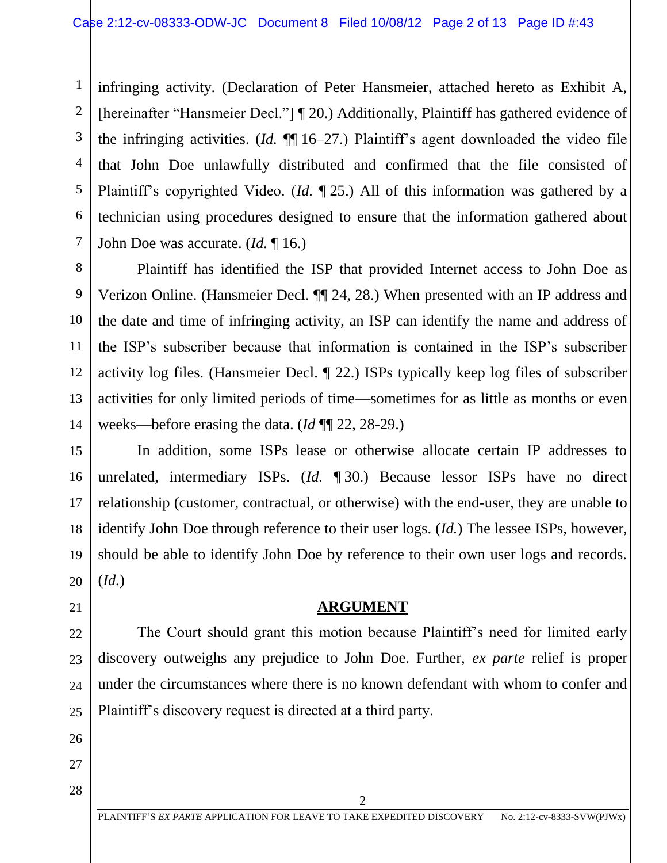1 2 3 4 5 6 7 infringing activity. (Declaration of Peter Hansmeier, attached hereto as Exhibit A, [hereinafter "Hansmeier Decl."] ¶ 20.) Additionally, Plaintiff has gathered evidence of the infringing activities. (*Id.* ¶¶ 16–27.) Plaintiff's agent downloaded the video file that John Doe unlawfully distributed and confirmed that the file consisted of Plaintiff's copyrighted Video. (*Id.* ¶ 25.) All of this information was gathered by a technician using procedures designed to ensure that the information gathered about John Doe was accurate. (*Id.* ¶ 16.)

Plaintiff has identified the ISP that provided Internet access to John Doe as Verizon Online. (Hansmeier Decl. ¶¶ 24, 28.) When presented with an IP address and the date and time of infringing activity, an ISP can identify the name and address of the ISP's subscriber because that information is contained in the ISP's subscriber activity log files. (Hansmeier Decl. ¶ 22.) ISPs typically keep log files of subscriber activities for only limited periods of time—sometimes for as little as months or even weeks—before erasing the data. (*Id* ¶¶ 22, 28-29.)

In addition, some ISPs lease or otherwise allocate certain IP addresses to unrelated, intermediary ISPs. (*Id.* ¶ 30.) Because lessor ISPs have no direct relationship (customer, contractual, or otherwise) with the end-user, they are unable to identify John Doe through reference to their user logs. (*Id.*) The lessee ISPs, however, should be able to identify John Doe by reference to their own user logs and records. (*Id.*)

## **ARGUMENT**

The Court should grant this motion because Plaintiff's need for limited early discovery outweighs any prejudice to John Doe. Further, *ex parte* relief is proper under the circumstances where there is no known defendant with whom to confer and Plaintiff's discovery request is directed at a third party.

8

9

10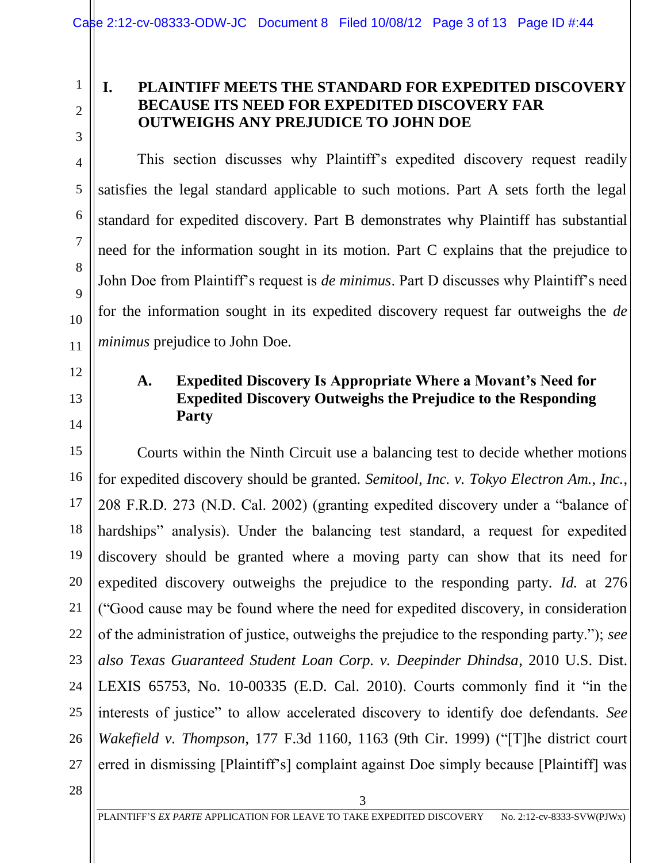#### **I. PLAINTIFF MEETS THE STANDARD FOR EXPEDITED DISCOVERY BECAUSE ITS NEED FOR EXPEDITED DISCOVERY FAR OUTWEIGHS ANY PREJUDICE TO JOHN DOE**

This section discusses why Plaintiff's expedited discovery request readily satisfies the legal standard applicable to such motions. Part A sets forth the legal standard for expedited discovery. Part B demonstrates why Plaintiff has substantial need for the information sought in its motion. Part C explains that the prejudice to John Doe from Plaintiff's request is *de minimus*. Part D discusses why Plaintiff's need for the information sought in its expedited discovery request far outweighs the *de minimus* prejudice to John Doe.

### **A. Expedited Discovery Is Appropriate Where a Movant's Need for Expedited Discovery Outweighs the Prejudice to the Responding Party**

Courts within the Ninth Circuit use a balancing test to decide whether motions for expedited discovery should be granted. *Semitool, Inc. v. Tokyo Electron Am., Inc.*, 208 F.R.D. 273 (N.D. Cal. 2002) (granting expedited discovery under a "balance of hardships" analysis). Under the balancing test standard, a request for expedited discovery should be granted where a moving party can show that its need for expedited discovery outweighs the prejudice to the responding party. *Id.* at 276 ("Good cause may be found where the need for expedited discovery, in consideration of the administration of justice, outweighs the prejudice to the responding party."); *see also Texas Guaranteed Student Loan Corp. v. Deepinder Dhindsa*, 2010 U.S. Dist. LEXIS 65753, No. 10-00335 (E.D. Cal. 2010). Courts commonly find it "in the interests of justice" to allow accelerated discovery to identify doe defendants. *See Wakefield v. Thompson*, 177 F.3d 1160, 1163 (9th Cir. 1999) ("[T]he district court erred in dismissing [Plaintiff's] complaint against Doe simply because [Plaintiff] was

28

1

2

3

4

5

6

7

8

9

10

11

12

13

14

15

16

17

18

19

20

21

22

23

24

25

26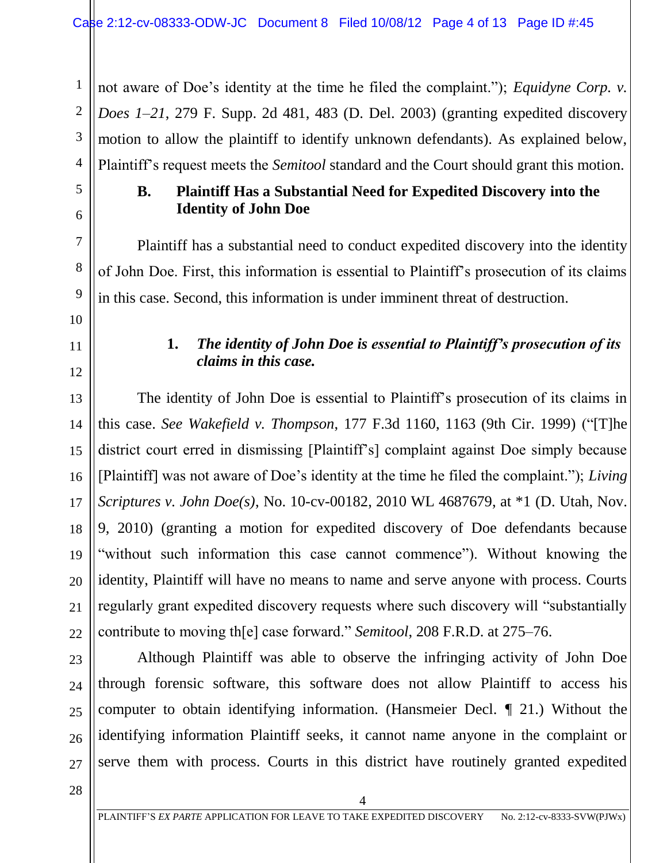not aware of Doe's identity at the time he filed the complaint."); *Equidyne Corp. v. Does 1–21*, 279 F. Supp. 2d 481, 483 (D. Del. 2003) (granting expedited discovery motion to allow the plaintiff to identify unknown defendants). As explained below, Plaintiff's request meets the *Semitool* standard and the Court should grant this motion.

## **B. Plaintiff Has a Substantial Need for Expedited Discovery into the Identity of John Doe**

Plaintiff has a substantial need to conduct expedited discovery into the identity of John Doe. First, this information is essential to Plaintiff's prosecution of its claims in this case. Second, this information is under imminent threat of destruction.

## **1.** *The identity of John Doe is essential to Plaintiff's prosecution of its claims in this case.*

The identity of John Doe is essential to Plaintiff's prosecution of its claims in this case. *See Wakefield v. Thompson*, 177 F.3d 1160, 1163 (9th Cir. 1999) ("[T]he district court erred in dismissing [Plaintiff's] complaint against Doe simply because [Plaintiff] was not aware of Doe's identity at the time he filed the complaint."); *Living Scriptures v. John Doe(s)*, No. 10-cv-00182, 2010 WL 4687679, at \*1 (D. Utah, Nov. 9, 2010) (granting a motion for expedited discovery of Doe defendants because "without such information this case cannot commence"). Without knowing the identity, Plaintiff will have no means to name and serve anyone with process. Courts regularly grant expedited discovery requests where such discovery will "substantially contribute to moving th[e] case forward." *Semitool*, 208 F.R.D. at 275–76.

Although Plaintiff was able to observe the infringing activity of John Doe through forensic software, this software does not allow Plaintiff to access his computer to obtain identifying information. (Hansmeier Decl. ¶ 21.) Without the identifying information Plaintiff seeks, it cannot name anyone in the complaint or serve them with process. Courts in this district have routinely granted expedited

28

1

2

3

4

5

6

7

8

9

10

11

12

13

14

15

16

17

18

19

20

21

22

23

24

25

26

27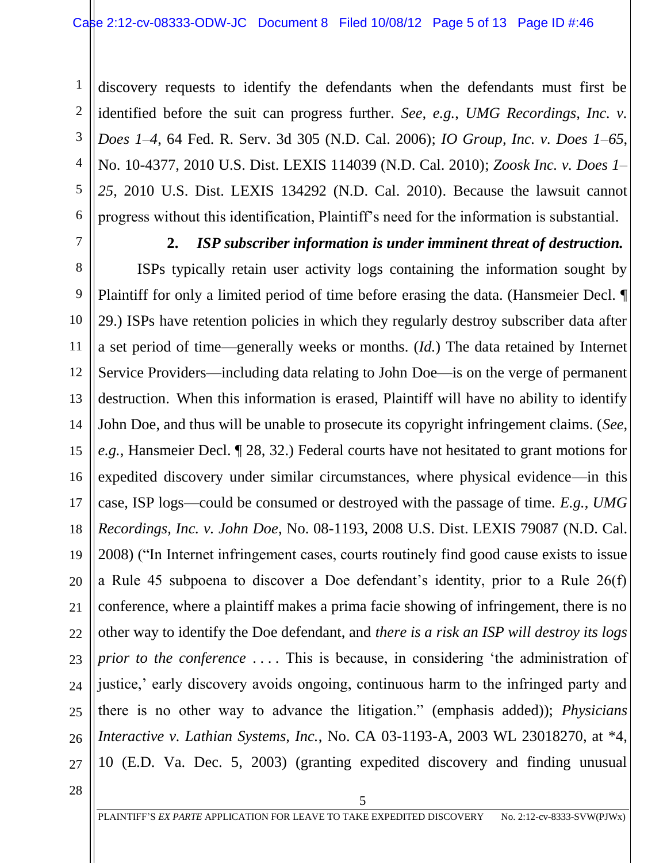discovery requests to identify the defendants when the defendants must first be identified before the suit can progress further. *See, e.g.*, *UMG Recordings, Inc. v. Does 1–4*, 64 Fed. R. Serv. 3d 305 (N.D. Cal. 2006); *IO Group, Inc. v. Does 1–65*, No. 10-4377, 2010 U.S. Dist. LEXIS 114039 (N.D. Cal. 2010); *Zoosk Inc. v. Does 1– 25*, 2010 U.S. Dist. LEXIS 134292 (N.D. Cal. 2010). Because the lawsuit cannot progress without this identification, Plaintiff's need for the information is substantial.

7

1

2

3

4

5

6

#### **2.** *ISP subscriber information is under imminent threat of destruction.*

8 9 10 11 12 13 14 15 16 17 18 19 20 21 22 23 24 25 26 27 ISPs typically retain user activity logs containing the information sought by Plaintiff for only a limited period of time before erasing the data. (Hansmeier Decl. ¶ 29.) ISPs have retention policies in which they regularly destroy subscriber data after a set period of time—generally weeks or months. (*Id.*) The data retained by Internet Service Providers—including data relating to John Doe—is on the verge of permanent destruction. When this information is erased, Plaintiff will have no ability to identify John Doe, and thus will be unable to prosecute its copyright infringement claims. (*See, e.g.,* Hansmeier Decl. ¶ 28, 32.) Federal courts have not hesitated to grant motions for expedited discovery under similar circumstances, where physical evidence—in this case, ISP logs—could be consumed or destroyed with the passage of time. *E.g.*, *UMG Recordings, Inc. v. John Doe*, No. 08-1193, 2008 U.S. Dist. LEXIS 79087 (N.D. Cal. 2008) ("In Internet infringement cases, courts routinely find good cause exists to issue a Rule 45 subpoena to discover a Doe defendant's identity, prior to a Rule 26(f) conference, where a plaintiff makes a prima facie showing of infringement, there is no other way to identify the Doe defendant, and *there is a risk an ISP will destroy its logs prior to the conference* .... This is because, in considering 'the administration of justice,' early discovery avoids ongoing, continuous harm to the infringed party and there is no other way to advance the litigation." (emphasis added)); *Physicians Interactive v. Lathian Systems, Inc.*, No. CA 03-1193-A, 2003 WL 23018270, at \*4, 10 (E.D. Va. Dec. 5, 2003) (granting expedited discovery and finding unusual

28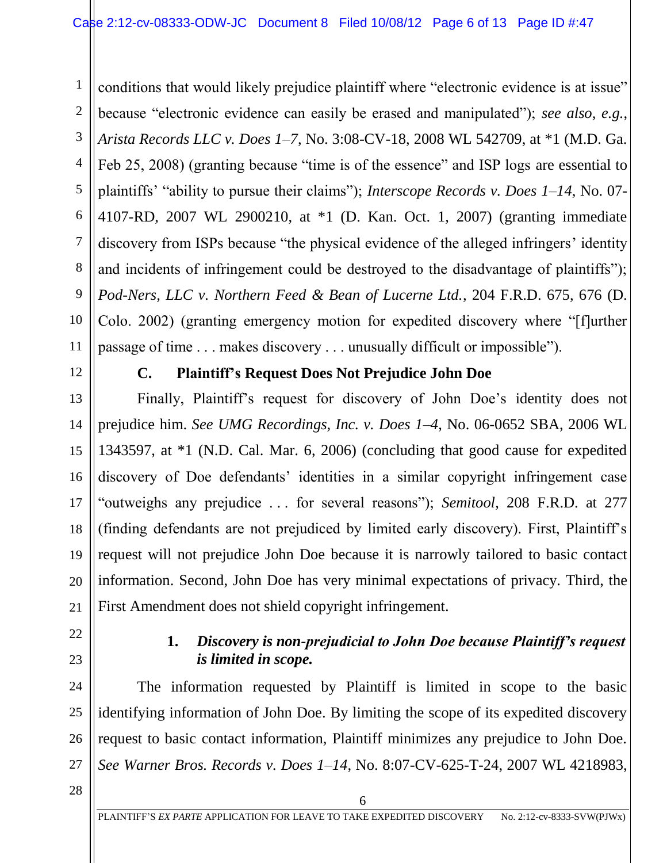3 4 5 6 8 9 10 conditions that would likely prejudice plaintiff where "electronic evidence is at issue" because "electronic evidence can easily be erased and manipulated"); *see also, e.g.*, *Arista Records LLC v. Does 1–7*, No. 3:08-CV-18, 2008 WL 542709, at \*1 (M.D. Ga. Feb 25, 2008) (granting because "time is of the essence" and ISP logs are essential to plaintiffs' "ability to pursue their claims"); *Interscope Records v. Does 1–14*, No. 07- 4107-RD, 2007 WL 2900210, at \*1 (D. Kan. Oct. 1, 2007) (granting immediate discovery from ISPs because "the physical evidence of the alleged infringers' identity and incidents of infringement could be destroyed to the disadvantage of plaintiffs"); *Pod-Ners, LLC v. Northern Feed & Bean of Lucerne Ltd.*, 204 F.R.D. 675, 676 (D. Colo. 2002) (granting emergency motion for expedited discovery where "[f]urther passage of time . . . makes discovery . . . unusually difficult or impossible").

12

11

13

14

15

16

17

18

19

20

21

1

2

7

### **C. Plaintiff's Request Does Not Prejudice John Doe**

Finally, Plaintiff's request for discovery of John Doe's identity does not prejudice him. *See UMG Recordings, Inc. v. Does 1–4*, No. 06-0652 SBA, 2006 WL 1343597, at \*1 (N.D. Cal. Mar. 6, 2006) (concluding that good cause for expedited discovery of Doe defendants' identities in a similar copyright infringement case "outweighs any prejudice . . . for several reasons"); *Semitool*, 208 F.R.D. at 277 (finding defendants are not prejudiced by limited early discovery). First, Plaintiff's request will not prejudice John Doe because it is narrowly tailored to basic contact information. Second, John Doe has very minimal expectations of privacy. Third, the First Amendment does not shield copyright infringement.

22 23

24

25

26

27

#### **1.** *Discovery is non-prejudicial to John Doe because Plaintiff's request is limited in scope.*

The information requested by Plaintiff is limited in scope to the basic identifying information of John Doe. By limiting the scope of its expedited discovery request to basic contact information, Plaintiff minimizes any prejudice to John Doe. *See Warner Bros. Records v. Does 1–14*, No. 8:07-CV-625-T-24, 2007 WL 4218983,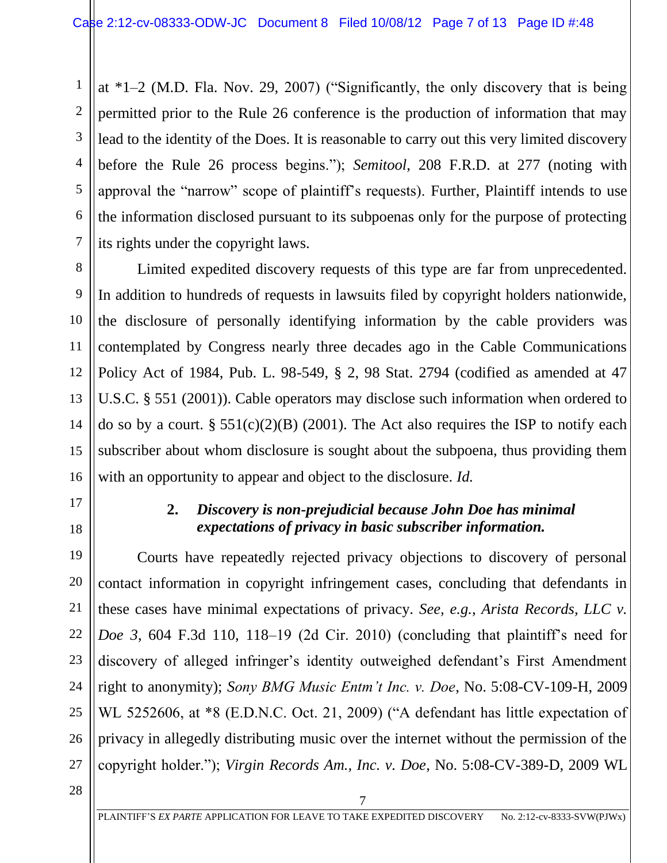6 at \*1–2 (M.D. Fla. Nov. 29, 2007) ("Significantly, the only discovery that is being permitted prior to the Rule 26 conference is the production of information that may lead to the identity of the Does. It is reasonable to carry out this very limited discovery before the Rule 26 process begins."); *Semitool*, 208 F.R.D. at 277 (noting with approval the "narrow" scope of plaintiff's requests). Further, Plaintiff intends to use the information disclosed pursuant to its subpoenas only for the purpose of protecting its rights under the copyright laws.

Limited expedited discovery requests of this type are far from unprecedented. In addition to hundreds of requests in lawsuits filed by copyright holders nationwide, the disclosure of personally identifying information by the cable providers was contemplated by Congress nearly three decades ago in the Cable Communications Policy Act of 1984, Pub. L. 98-549, § 2, 98 Stat. 2794 (codified as amended at 47 U.S.C. § 551 (2001)). Cable operators may disclose such information when ordered to do so by a court. §  $551(c)(2)(B)$  (2001). The Act also requires the ISP to notify each subscriber about whom disclosure is sought about the subpoena, thus providing them with an opportunity to appear and object to the disclosure. *Id.*

17 18

19

20

21

22

23

24

25

26

27

1

2

3

4

5

7

8

9

10

11

12

13

14

15

16

### **2.** *Discovery is non-prejudicial because John Doe has minimal expectations of privacy in basic subscriber information.*

Courts have repeatedly rejected privacy objections to discovery of personal contact information in copyright infringement cases, concluding that defendants in these cases have minimal expectations of privacy. *See, e.g.*, *Arista Records, LLC v. Doe 3*, 604 F.3d 110, 118–19 (2d Cir. 2010) (concluding that plaintiff's need for discovery of alleged infringer's identity outweighed defendant's First Amendment right to anonymity); *Sony BMG Music Entm't Inc. v. Doe*, No. 5:08-CV-109-H, 2009 WL 5252606, at \*8 (E.D.N.C. Oct. 21, 2009) ("A defendant has little expectation of privacy in allegedly distributing music over the internet without the permission of the copyright holder."); *Virgin Records Am., Inc. v. Doe*, No. 5:08-CV-389-D, 2009 WL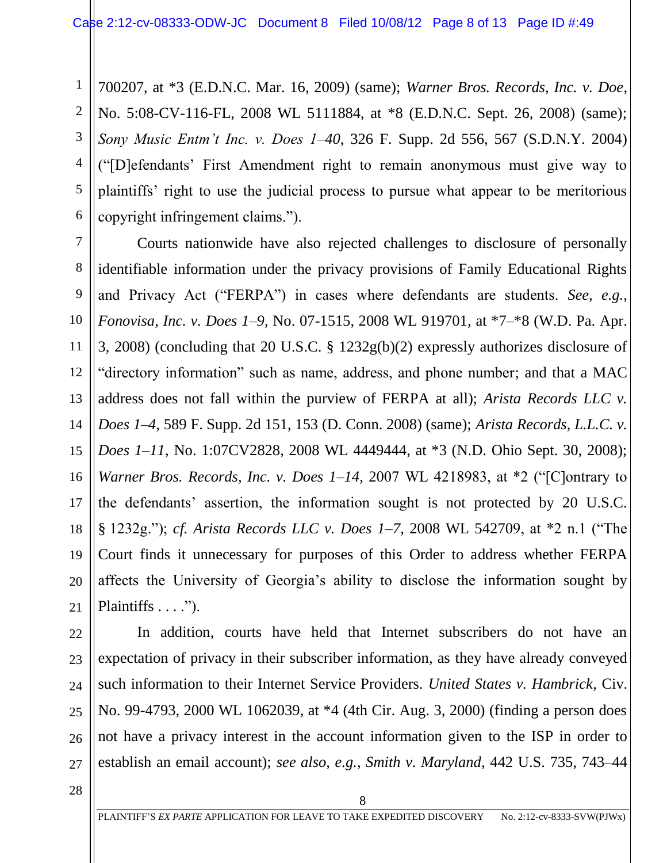700207, at \*3 (E.D.N.C. Mar. 16, 2009) (same); *Warner Bros. Records, Inc. v. Doe*, No. 5:08-CV-116-FL, 2008 WL 5111884, at \*8 (E.D.N.C. Sept. 26, 2008) (same); *Sony Music Entm't Inc. v. Does 1–40*, 326 F. Supp. 2d 556, 567 (S.D.N.Y. 2004) ("[D]efendants' First Amendment right to remain anonymous must give way to plaintiffs' right to use the judicial process to pursue what appear to be meritorious copyright infringement claims.").

Courts nationwide have also rejected challenges to disclosure of personally identifiable information under the privacy provisions of Family Educational Rights and Privacy Act ("FERPA") in cases where defendants are students. *See, e.g.*, *Fonovisa, Inc. v. Does 1–9*, No. 07-1515, 2008 WL 919701, at \*7–\*8 (W.D. Pa. Apr. 3, 2008) (concluding that 20 U.S.C. § 1232g(b)(2) expressly authorizes disclosure of "directory information" such as name, address, and phone number; and that a MAC address does not fall within the purview of FERPA at all); *Arista Records LLC v. Does 1–4*, 589 F. Supp. 2d 151, 153 (D. Conn. 2008) (same); *Arista Records, L.L.C. v. Does 1–11*, No. 1:07CV2828, 2008 WL 4449444, at \*3 (N.D. Ohio Sept. 30, 2008); *Warner Bros. Records, Inc. v. Does 1–14*, 2007 WL 4218983, at \*2 ("[C]ontrary to the defendants' assertion, the information sought is not protected by 20 U.S.C. § 1232g."); *cf. Arista Records LLC v. Does 1–7*, 2008 WL 542709, at \*2 n.1 ("The Court finds it unnecessary for purposes of this Order to address whether FERPA affects the University of Georgia's ability to disclose the information sought by Plaintiffs  $\dots$ .").

In addition, courts have held that Internet subscribers do not have an expectation of privacy in their subscriber information, as they have already conveyed such information to their Internet Service Providers. *United States v. Hambrick*, Civ. No. 99-4793, 2000 WL 1062039, at \*4 (4th Cir. Aug. 3, 2000) (finding a person does not have a privacy interest in the account information given to the ISP in order to establish an email account); *see also, e.g.*, *Smith v. Maryland*, 442 U.S. 735, 743–44

28

1

2

3

4

5

6

7

8

9

10

11

12

13

14

15

16

17

18

19

20

21

22

23

24

25

26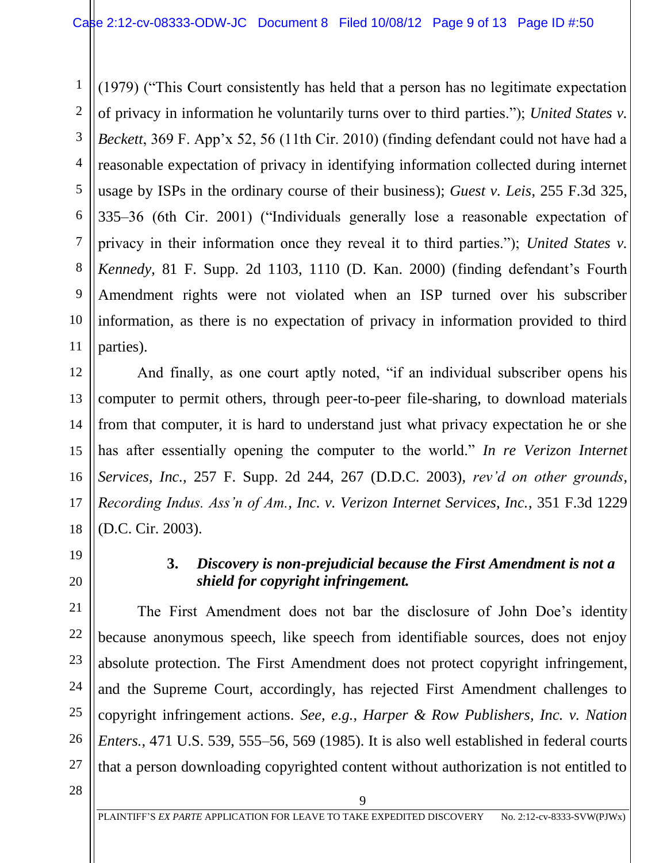1 2 3 4 5 6 7 8 9 10 11 (1979) ("This Court consistently has held that a person has no legitimate expectation of privacy in information he voluntarily turns over to third parties."); *United States v. Beckett*, 369 F. App'x 52, 56 (11th Cir. 2010) (finding defendant could not have had a reasonable expectation of privacy in identifying information collected during internet usage by ISPs in the ordinary course of their business); *Guest v. Leis*, 255 F.3d 325, 335–36 (6th Cir. 2001) ("Individuals generally lose a reasonable expectation of privacy in their information once they reveal it to third parties."); *United States v. Kennedy*, 81 F. Supp. 2d 1103, 1110 (D. Kan. 2000) (finding defendant's Fourth Amendment rights were not violated when an ISP turned over his subscriber information, as there is no expectation of privacy in information provided to third parties).

12 13 14 15 16 18 And finally, as one court aptly noted, "if an individual subscriber opens his computer to permit others, through peer-to-peer file-sharing, to download materials from that computer, it is hard to understand just what privacy expectation he or she has after essentially opening the computer to the world." *In re Verizon Internet Services, Inc.*, 257 F. Supp. 2d 244, 267 (D.D.C. 2003), *rev'd on other grounds*, *Recording Indus. Ass'n of Am., Inc. v. Verizon Internet Services, Inc.*, 351 F.3d 1229 (D.C. Cir. 2003).

19

20

21

22

23

24

25

26

27

17

### **3.** *Discovery is non-prejudicial because the First Amendment is not a shield for copyright infringement.*

The First Amendment does not bar the disclosure of John Doe's identity because anonymous speech, like speech from identifiable sources, does not enjoy absolute protection. The First Amendment does not protect copyright infringement, and the Supreme Court, accordingly, has rejected First Amendment challenges to copyright infringement actions. *See, e.g.*, *Harper & Row Publishers, Inc. v. Nation Enters.*, 471 U.S. 539, 555–56, 569 (1985). It is also well established in federal courts that a person downloading copyrighted content without authorization is not entitled to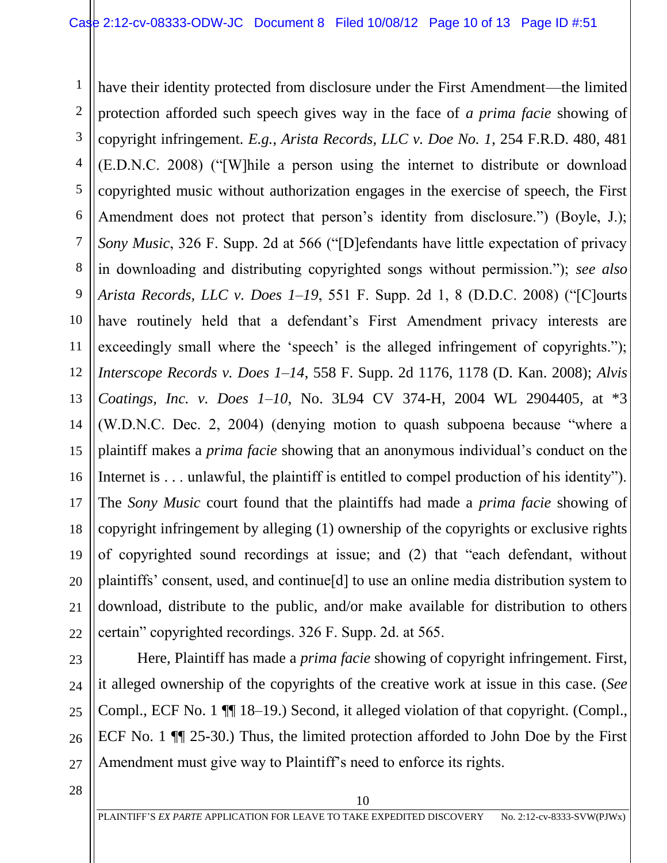1 2 3 4 5 6 7 8 9 10 11 12 13 have their identity protected from disclosure under the First Amendment—the limited protection afforded such speech gives way in the face of *a prima facie* showing of copyright infringement. *E.g.*, *Arista Records, LLC v. Doe No. 1*, 254 F.R.D. 480, 481 (E.D.N.C. 2008) ("[W]hile a person using the internet to distribute or download copyrighted music without authorization engages in the exercise of speech, the First Amendment does not protect that person's identity from disclosure.") (Boyle, J.); *Sony Music*, 326 F. Supp. 2d at 566 ("[D]efendants have little expectation of privacy in downloading and distributing copyrighted songs without permission."); *see also Arista Records, LLC v. Does 1–19*, 551 F. Supp. 2d 1, 8 (D.D.C. 2008) ("[C]ourts have routinely held that a defendant's First Amendment privacy interests are exceedingly small where the 'speech' is the alleged infringement of copyrights."); *Interscope Records v. Does 1–14*, 558 F. Supp. 2d 1176, 1178 (D. Kan. 2008); *Alvis Coatings, Inc. v. Does 1–10*, No. 3L94 CV 374-H, 2004 WL 2904405, at \*3 (W.D.N.C. Dec. 2, 2004) (denying motion to quash subpoena because "where a plaintiff makes a *prima facie* showing that an anonymous individual's conduct on the Internet is ... unlawful, the plaintiff is entitled to compel production of his identity"). The *Sony Music* court found that the plaintiffs had made a *prima facie* showing of copyright infringement by alleging (1) ownership of the copyrights or exclusive rights of copyrighted sound recordings at issue; and (2) that "each defendant, without plaintiffs' consent, used, and continue[d] to use an online media distribution system to download, distribute to the public, and/or make available for distribution to others certain" copyrighted recordings. 326 F. Supp. 2d. at 565.

Here, Plaintiff has made a *prima facie* showing of copyright infringement. First, it alleged ownership of the copyrights of the creative work at issue in this case. (*See* Compl., ECF No. 1 ¶¶ 18–19.) Second, it alleged violation of that copyright. (Compl., ECF No. 1 ¶¶ 25-30.) Thus, the limited protection afforded to John Doe by the First Amendment must give way to Plaintiff's need to enforce its rights.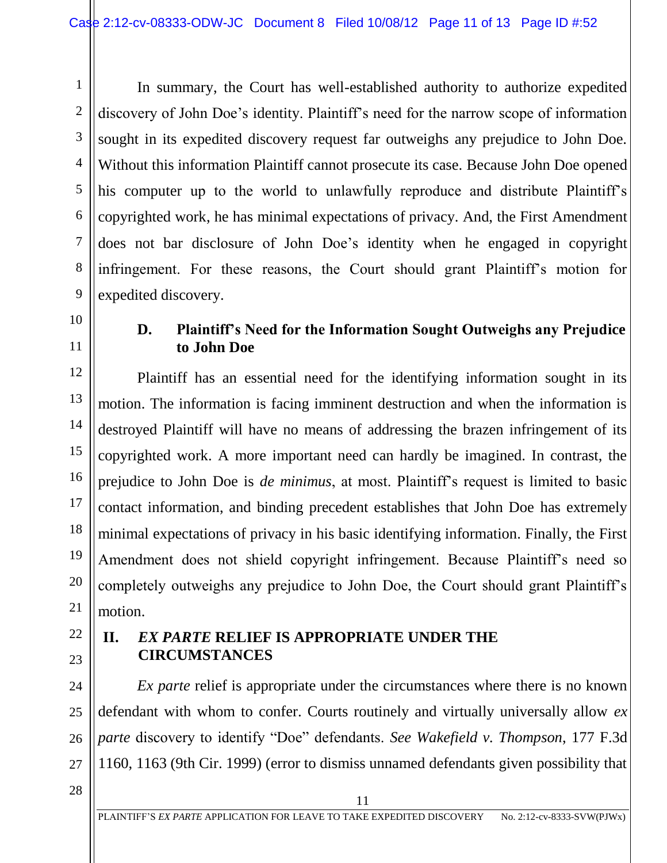In summary, the Court has well-established authority to authorize expedited discovery of John Doe's identity. Plaintiff's need for the narrow scope of information sought in its expedited discovery request far outweighs any prejudice to John Doe. Without this information Plaintiff cannot prosecute its case. Because John Doe opened his computer up to the world to unlawfully reproduce and distribute Plaintiff's copyrighted work, he has minimal expectations of privacy. And, the First Amendment does not bar disclosure of John Doe's identity when he engaged in copyright infringement. For these reasons, the Court should grant Plaintiff's motion for expedited discovery.

## 10 11

12

13

14

15

16

17

18

19

20

21

22

23

24

25

26

27

1

2

3

4

5

6

7

8

9

#### **D. Plaintiff's Need for the Information Sought Outweighs any Prejudice to John Doe**

Plaintiff has an essential need for the identifying information sought in its motion. The information is facing imminent destruction and when the information is destroyed Plaintiff will have no means of addressing the brazen infringement of its copyrighted work. A more important need can hardly be imagined. In contrast, the prejudice to John Doe is *de minimus*, at most. Plaintiff's request is limited to basic contact information, and binding precedent establishes that John Doe has extremely minimal expectations of privacy in his basic identifying information. Finally, the First Amendment does not shield copyright infringement. Because Plaintiff's need so completely outweighs any prejudice to John Doe, the Court should grant Plaintiff's motion.

# **II.** *EX PARTE* **RELIEF IS APPROPRIATE UNDER THE CIRCUMSTANCES**

*Ex parte* relief is appropriate under the circumstances where there is no known defendant with whom to confer. Courts routinely and virtually universally allow *ex parte* discovery to identify "Doe" defendants. *See Wakefield v. Thompson*, 177 F.3d 1160, 1163 (9th Cir. 1999) (error to dismiss unnamed defendants given possibility that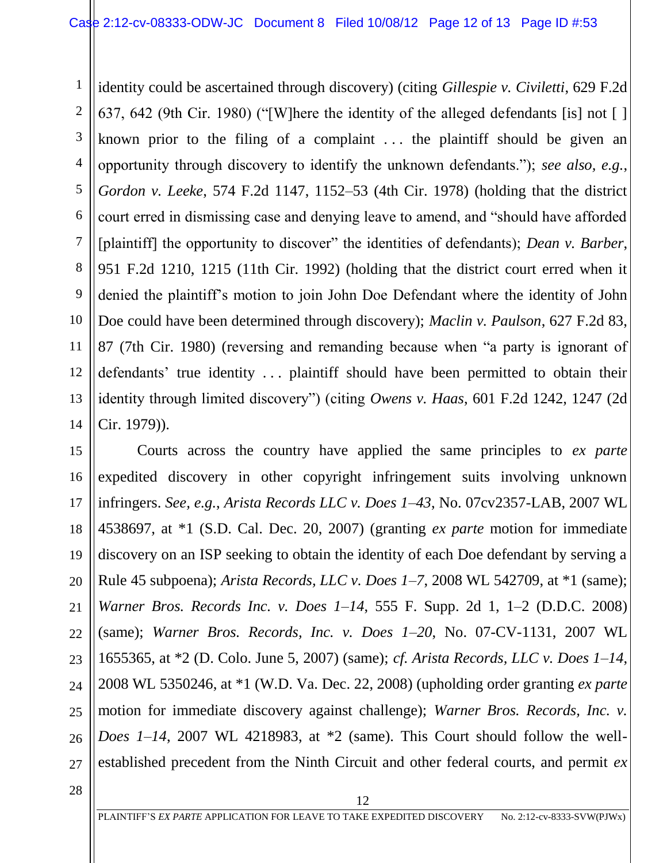5 6 10 14 identity could be ascertained through discovery) (citing *Gillespie v. Civiletti*, 629 F.2d 637, 642 (9th Cir. 1980) ("[W]here the identity of the alleged defendants [is] not [ ] known prior to the filing of a complaint . . . the plaintiff should be given an opportunity through discovery to identify the unknown defendants."); *see also, e.g.*, *Gordon v. Leeke*, 574 F.2d 1147, 1152–53 (4th Cir. 1978) (holding that the district court erred in dismissing case and denying leave to amend, and "should have afforded [plaintiff] the opportunity to discover" the identities of defendants); *Dean v. Barber*, 951 F.2d 1210, 1215 (11th Cir. 1992) (holding that the district court erred when it denied the plaintiff's motion to join John Doe Defendant where the identity of John Doe could have been determined through discovery); *Maclin v. Paulson*, 627 F.2d 83, 87 (7th Cir. 1980) (reversing and remanding because when "a party is ignorant of defendants' true identity . . . plaintiff should have been permitted to obtain their identity through limited discovery") (citing *Owens v. Haas*, 601 F.2d 1242, 1247 (2d Cir. 1979)).

15 16 17 18 19 20 21 22 23 24 25 26 27 Courts across the country have applied the same principles to *ex parte* expedited discovery in other copyright infringement suits involving unknown infringers. *See, e.g.*, *Arista Records LLC v. Does 1–43*, No. 07cv2357-LAB, 2007 WL 4538697, at \*1 (S.D. Cal. Dec. 20, 2007) (granting *ex parte* motion for immediate discovery on an ISP seeking to obtain the identity of each Doe defendant by serving a Rule 45 subpoena); *Arista Records, LLC v. Does 1–7*, 2008 WL 542709, at \*1 (same); *Warner Bros. Records Inc. v. Does 1–14*, 555 F. Supp. 2d 1, 1–2 (D.D.C. 2008) (same); *Warner Bros. Records, Inc. v. Does 1–20*, No. 07-CV-1131, 2007 WL 1655365, at \*2 (D. Colo. June 5, 2007) (same); *cf. Arista Records, LLC v. Does 1–14*, 2008 WL 5350246, at \*1 (W.D. Va. Dec. 22, 2008) (upholding order granting *ex parte* motion for immediate discovery against challenge); *Warner Bros. Records, Inc. v. Does 1–14*, 2007 WL 4218983, at \*2 (same). This Court should follow the wellestablished precedent from the Ninth Circuit and other federal courts, and permit *ex* 

28

1

2

3

4

7

8

9

11

12